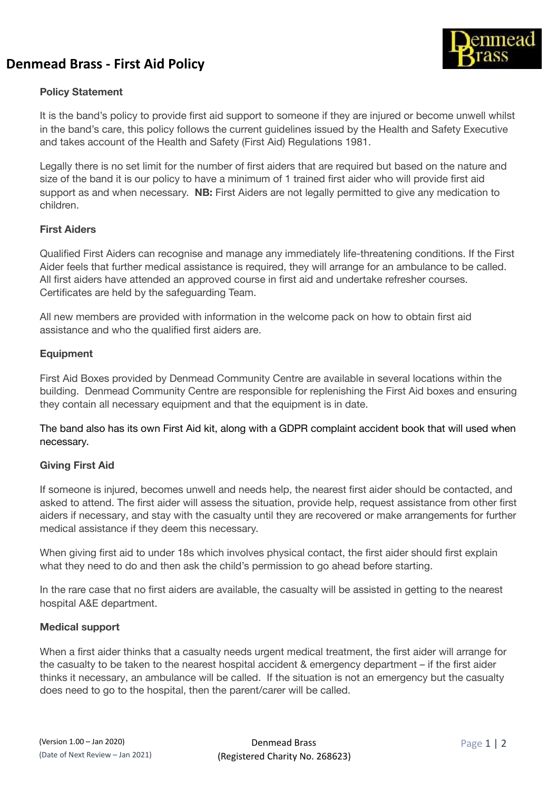# **Denmead Brass - First Aid Policy**



## **Policy Statement**

It is the band's policy to provide first aid support to someone if they are injured or become unwell whilst in the band's care, this policy follows the current guidelines issued by the Health and Safety Executive and takes account of the Health and Safety (First Aid) Regulations 1981.

Legally there is no set limit for the number of first aiders that are required but based on the nature and size of the band it is our policy to have a minimum of 1 trained first aider who will provide first aid support as and when necessary. **NB:** First Aiders are not legally permitted to give any medication to children.

#### **First Aiders**

Qualified First Aiders can recognise and manage any immediately life-threatening conditions. If the First Aider feels that further medical assistance is required, they will arrange for an ambulance to be called. All first aiders have attended an approved course in first aid and undertake refresher courses. Certificates are held by the safeguarding Team.

All new members are provided with information in the welcome pack on how to obtain first aid assistance and who the qualified first aiders are.

#### **Equipment**

First Aid Boxes provided by Denmead Community Centre are available in several locations within the building. Denmead Community Centre are responsible for replenishing the First Aid boxes and ensuring they contain all necessary equipment and that the equipment is in date.

The band also has its own First Aid kit, along with a GDPR complaint accident book that will used when necessary.

#### **Giving First Aid**

If someone is injured, becomes unwell and needs help, the nearest first aider should be contacted, and asked to attend. The first aider will assess the situation, provide help, request assistance from other first aiders if necessary, and stay with the casualty until they are recovered or make arrangements for further medical assistance if they deem this necessary.

When giving first aid to under 18s which involves physical contact, the first aider should first explain what they need to do and then ask the child's permission to go ahead before starting.

In the rare case that no first aiders are available, the casualty will be assisted in getting to the nearest hospital A&E department.

#### **Medical support**

When a first aider thinks that a casualty needs urgent medical treatment, the first aider will arrange for the casualty to be taken to the nearest hospital accident & emergency department – if the first aider thinks it necessary, an ambulance will be called. If the situation is not an emergency but the casualty does need to go to the hospital, then the parent/carer will be called.